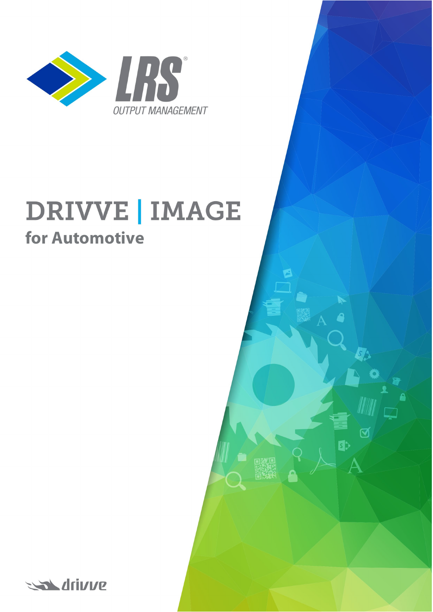

# **DRIVVE | IMAGE for Automotive**

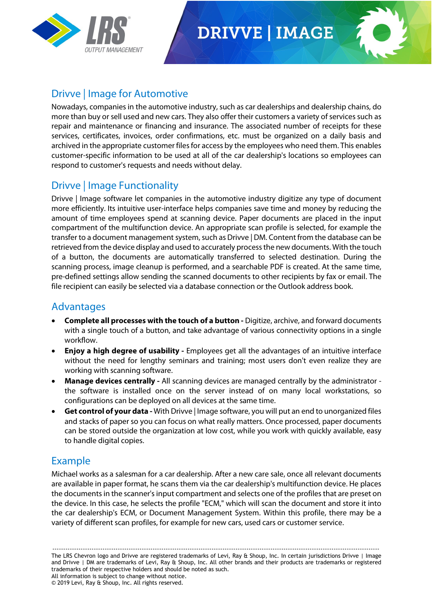

## **DRIVVE | IMAGE**



#### Drivve | Image for Automotive

Nowadays, companies in the automotive industry, such as car dealerships and dealership chains, do more than buy or sell used and new cars. They also offer their customers a variety of services such as repair and maintenance or financing and insurance. The associated number of receipts for these services, certificates, invoices, order confirmations, etc. must be organized on a daily basis and archived in the appropriate customer files for access by the employees who need them. This enables customer-specific information to be used at all of the car dealership's locations so employees can respond to customer's requests and needs without delay.

#### Drivve | Image Functionality

Drivve | Image software let companies in the automotive industry digitize any type of document more efficiently. Its intuitive user-interface helps companies save time and money by reducing the amount of time employees spend at scanning device. Paper documents are placed in the input compartment of the multifunction device. An appropriate scan profile is selected, for example the transfer to a document management system, such as Drivve | DM. Content from the database can be retrieved from the device display and used to accurately process the new documents. With the touch of a button, the documents are automatically transferred to selected destination. During the scanning process, image cleanup is performed, and a searchable PDF is created. At the same time, pre-defined settings allow sending the scanned documents to other recipients by fax or email. The file recipient can easily be selected via a database connection or the Outlook address book.

#### Advantages

- **Complete all processes with the touch of a button -** Digitize, archive, and forward documents with a single touch of a button, and take advantage of various connectivity options in a single workflow.
- **Enjoy a high degree of usability -** Employees get all the advantages of an intuitive interface without the need for lengthy seminars and training; most users don't even realize they are working with scanning software.
- **Manage devices centrally -** All scanning devices are managed centrally by the administrator the software is installed once on the server instead of on many local workstations, so configurations can be deployed on all devices at the same time.
- **Get control of your data -** With Drivve | Image software, you will put an end to unorganized files and stacks of paper so you can focus on what really matters. Once processed, paper documents can be stored outside the organization at low cost, while you work with quickly available, easy to handle digital copies.

#### Example

Michael works as a salesman for a car dealership. After a new care sale, once all relevant documents are available in paper format, he scans them via the car dealership's multifunction device. He places the documents in the scanner's input compartment and selects one of the profiles that are preset on the device. In this case, he selects the profile "ECM," which will scan the document and store it into the car dealership's ECM, or Document Management System. Within this profile, there may be a variety of different scan profiles, for example for new cars, used cars or customer service.

------------------------------------------------------------------------------------------------------------------------------------------------------ The LRS Chevron logo and Drivve are registered trademarks of Levi, Ray & Shoup, Inc. In certain jurisdictions Drivve | Image and Drivve | DM are trademarks of Levi, Ray & Shoup, Inc. All other brands and their products are trademarks or registered trademarks of their respective holders and should be noted as such. All information is subject to change without notice.